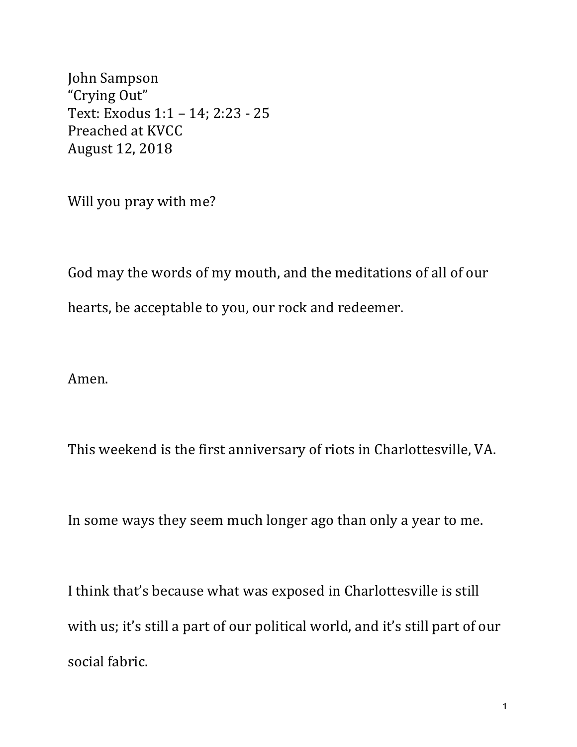John Sampson "Crying Out" Text: Exodus 1:1 - 14; 2:23 - 25 Preached at KVCC August 12, 2018

Will you pray with me?

God may the words of my mouth, and the meditations of all of our hearts, be acceptable to you, our rock and redeemer.

Amen.

This weekend is the first anniversary of riots in Charlottesville, VA.

In some ways they seem much longer ago than only a year to me.

I think that's because what was exposed in Charlottesville is still with us; it's still a part of our political world, and it's still part of our social fabric.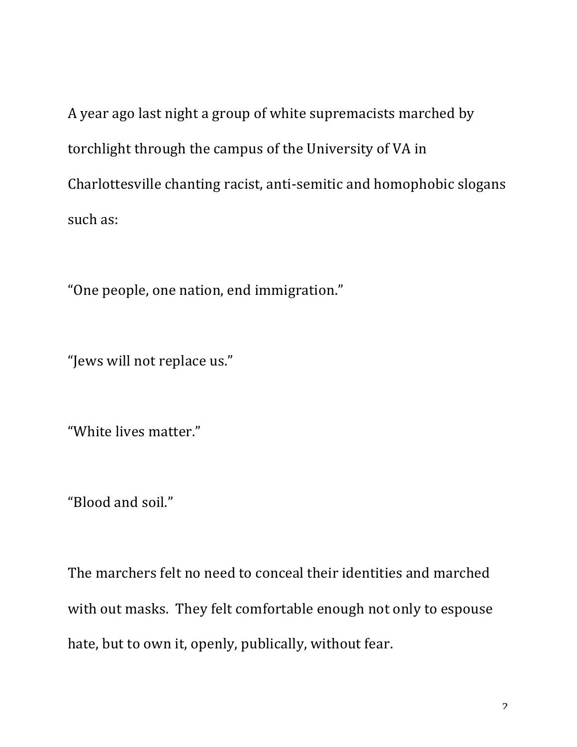A year ago last night a group of white supremacists marched by torchlight through the campus of the University of VA in Charlottesville chanting racist, anti-semitic and homophobic slogans such as:

"One people, one nation, end immigration."

"Jews will not replace us."

"White lives matter."

"Blood and soil."

The marchers felt no need to conceal their identities and marched with out masks. They felt comfortable enough not only to espouse hate, but to own it, openly, publically, without fear.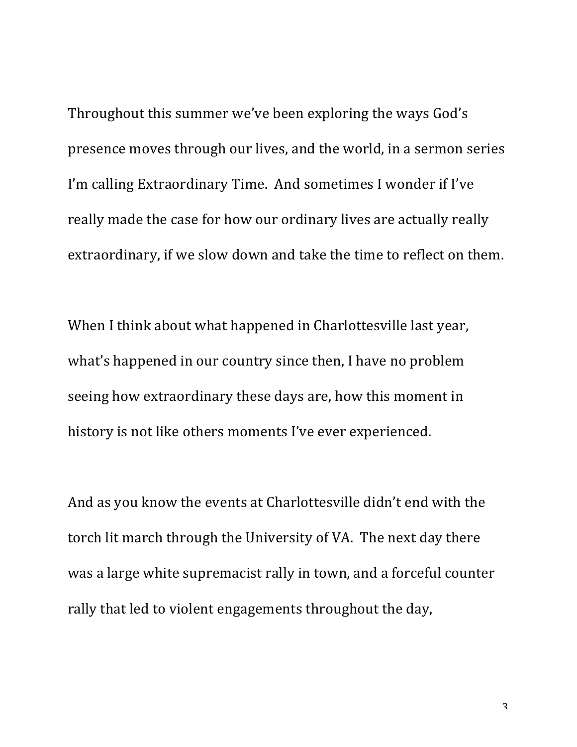Throughout this summer we've been exploring the ways God's presence moves through our lives, and the world, in a sermon series I'm calling Extraordinary Time. And sometimes I wonder if I've really made the case for how our ordinary lives are actually really extraordinary, if we slow down and take the time to reflect on them.

When I think about what happened in Charlottesville last year, what's happened in our country since then, I have no problem seeing how extraordinary these days are, how this moment in history is not like others moments I've ever experienced.

And as you know the events at Charlottesville didn't end with the torch lit march through the University of VA. The next day there was a large white supremacist rally in town, and a forceful counter rally that led to violent engagements throughout the day,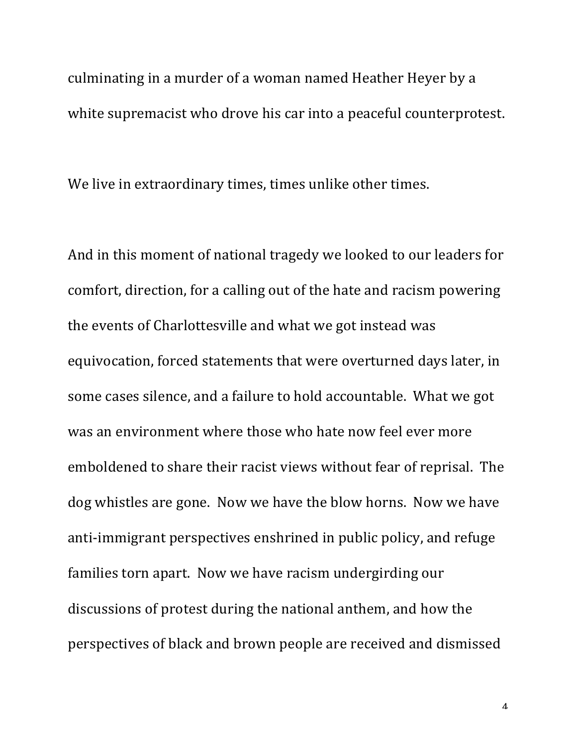culminating in a murder of a woman named Heather Heyer by a white supremacist who drove his car into a peaceful counterprotest.

We live in extraordinary times, times unlike other times.

And in this moment of national tragedy we looked to our leaders for comfort, direction, for a calling out of the hate and racism powering the events of Charlottesville and what we got instead was equivocation, forced statements that were overturned days later, in some cases silence, and a failure to hold accountable. What we got was an environment where those who hate now feel ever more emboldened to share their racist views without fear of reprisal. The dog whistles are gone. Now we have the blow horns. Now we have anti-immigrant perspectives enshrined in public policy, and refuge families torn apart. Now we have racism undergirding our discussions of protest during the national anthem, and how the perspectives of black and brown people are received and dismissed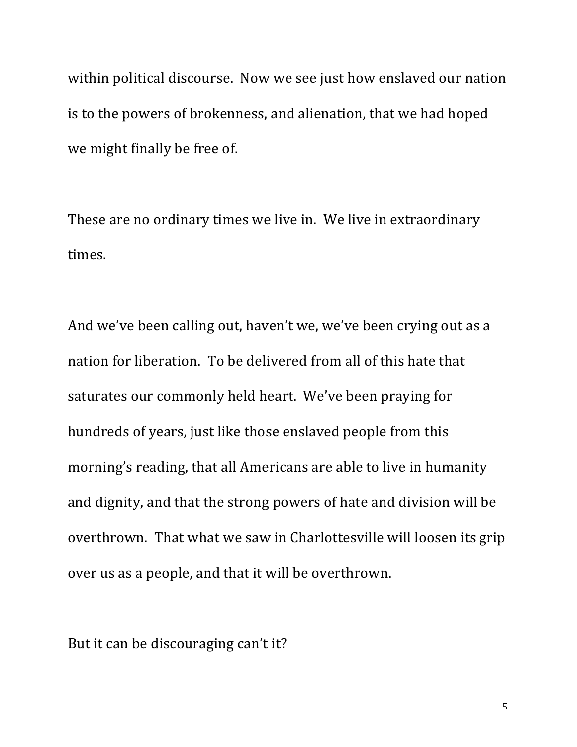within political discourse. Now we see just how enslaved our nation is to the powers of brokenness, and alienation, that we had hoped we might finally be free of.

These are no ordinary times we live in. We live in extraordinary times.

And we've been calling out, haven't we, we've been crying out as a nation for liberation. To be delivered from all of this hate that saturates our commonly held heart. We've been praying for hundreds of years, just like those enslaved people from this morning's reading, that all Americans are able to live in humanity and dignity, and that the strong powers of hate and division will be overthrown. That what we saw in Charlottesville will loosen its grip over us as a people, and that it will be overthrown.

But it can be discouraging can't it?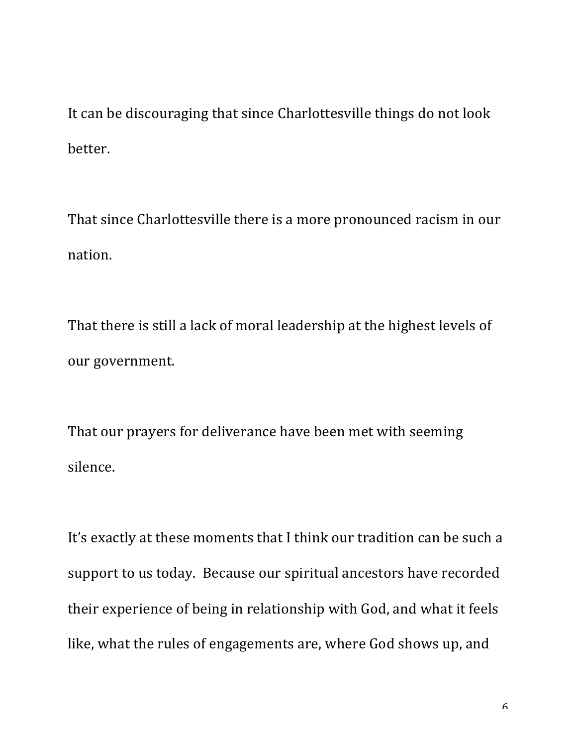It can be discouraging that since Charlottesville things do not look better.

That since Charlottesville there is a more pronounced racism in our nation.

That there is still a lack of moral leadership at the highest levels of our government.

That our prayers for deliverance have been met with seeming silence.

It's exactly at these moments that I think our tradition can be such a support to us today. Because our spiritual ancestors have recorded their experience of being in relationship with God, and what it feels like, what the rules of engagements are, where God shows up, and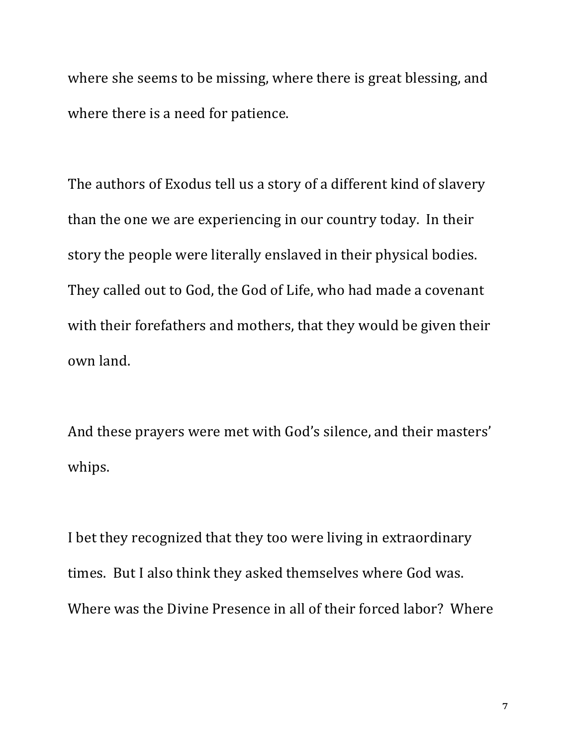where she seems to be missing, where there is great blessing, and where there is a need for patience.

The authors of Exodus tell us a story of a different kind of slavery than the one we are experiencing in our country today. In their story the people were literally enslaved in their physical bodies. They called out to God, the God of Life, who had made a covenant with their forefathers and mothers, that they would be given their own land. 

And these prayers were met with God's silence, and their masters' whips.

I bet they recognized that they too were living in extraordinary times. But I also think they asked themselves where God was. Where was the Divine Presence in all of their forced labor? Where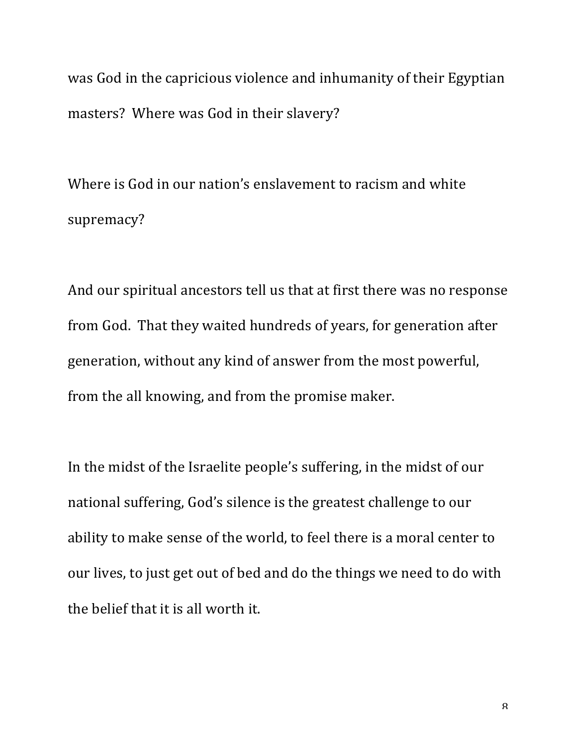was God in the capricious violence and inhumanity of their Egyptian masters? Where was God in their slavery?

Where is God in our nation's enslavement to racism and white supremacy?

And our spiritual ancestors tell us that at first there was no response from God. That they waited hundreds of years, for generation after generation, without any kind of answer from the most powerful, from the all knowing, and from the promise maker.

In the midst of the Israelite people's suffering, in the midst of our national suffering, God's silence is the greatest challenge to our ability to make sense of the world, to feel there is a moral center to our lives, to just get out of bed and do the things we need to do with the belief that it is all worth it.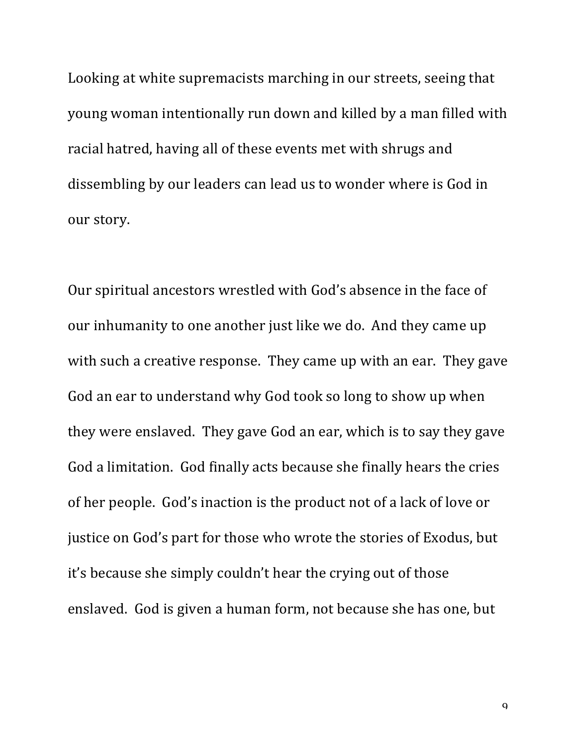Looking at white supremacists marching in our streets, seeing that young woman intentionally run down and killed by a man filled with racial hatred, having all of these events met with shrugs and dissembling by our leaders can lead us to wonder where is God in our story.

Our spiritual ancestors wrestled with God's absence in the face of our inhumanity to one another just like we do. And they came up with such a creative response. They came up with an ear. They gave God an ear to understand why God took so long to show up when they were enslaved. They gave God an ear, which is to say they gave God a limitation. God finally acts because she finally hears the cries of her people. God's inaction is the product not of a lack of love or justice on God's part for those who wrote the stories of Exodus, but it's because she simply couldn't hear the crying out of those enslaved. God is given a human form, not because she has one, but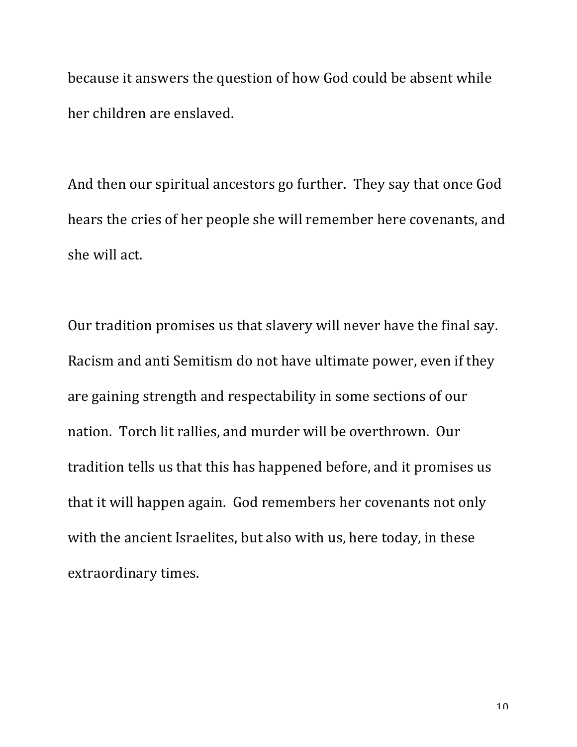because it answers the question of how God could be absent while her children are enslaved.

And then our spiritual ancestors go further. They say that once God hears the cries of her people she will remember here covenants, and she will act.

Our tradition promises us that slavery will never have the final say. Racism and anti Semitism do not have ultimate power, even if they are gaining strength and respectability in some sections of our nation. Torch lit rallies, and murder will be overthrown. Our tradition tells us that this has happened before, and it promises us that it will happen again. God remembers her covenants not only with the ancient Israelites, but also with us, here today, in these extraordinary times.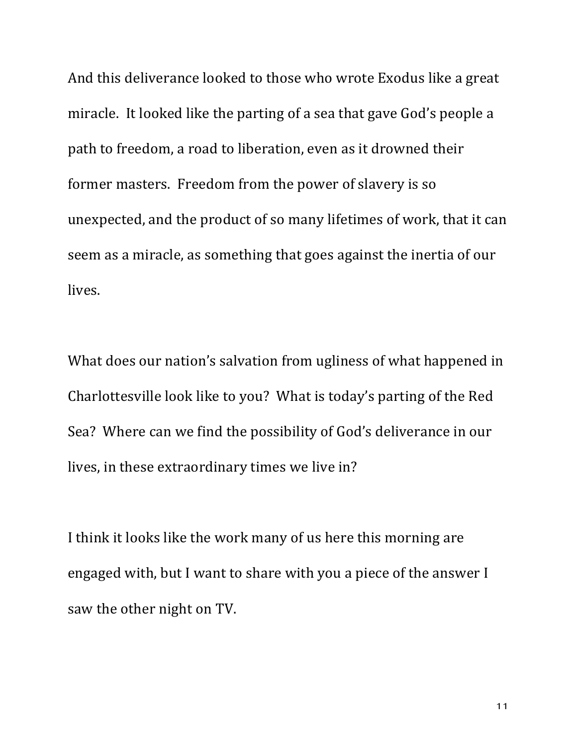And this deliverance looked to those who wrote Exodus like a great miracle. It looked like the parting of a sea that gave God's people a path to freedom, a road to liberation, even as it drowned their former masters. Freedom from the power of slavery is so unexpected, and the product of so many lifetimes of work, that it can seem as a miracle, as something that goes against the inertia of our lives.

What does our nation's salvation from ugliness of what happened in Charlottesville look like to you? What is today's parting of the Red Sea? Where can we find the possibility of God's deliverance in our lives, in these extraordinary times we live in?

I think it looks like the work many of us here this morning are engaged with, but I want to share with you a piece of the answer I saw the other night on TV.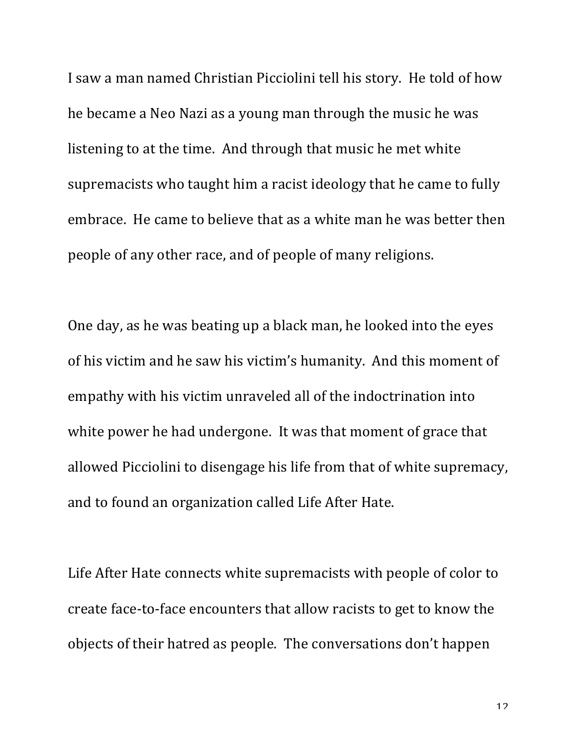I saw a man named Christian Picciolini tell his story. He told of how he became a Neo Nazi as a young man through the music he was listening to at the time. And through that music he met white supremacists who taught him a racist ideology that he came to fully embrace. He came to believe that as a white man he was better then people of any other race, and of people of many religions.

One day, as he was beating up a black man, he looked into the eyes of his victim and he saw his victim's humanity. And this moment of empathy with his victim unraveled all of the indoctrination into white power he had undergone. It was that moment of grace that allowed Picciolini to disengage his life from that of white supremacy, and to found an organization called Life After Hate.

Life After Hate connects white supremacists with people of color to create face-to-face encounters that allow racists to get to know the objects of their hatred as people. The conversations don't happen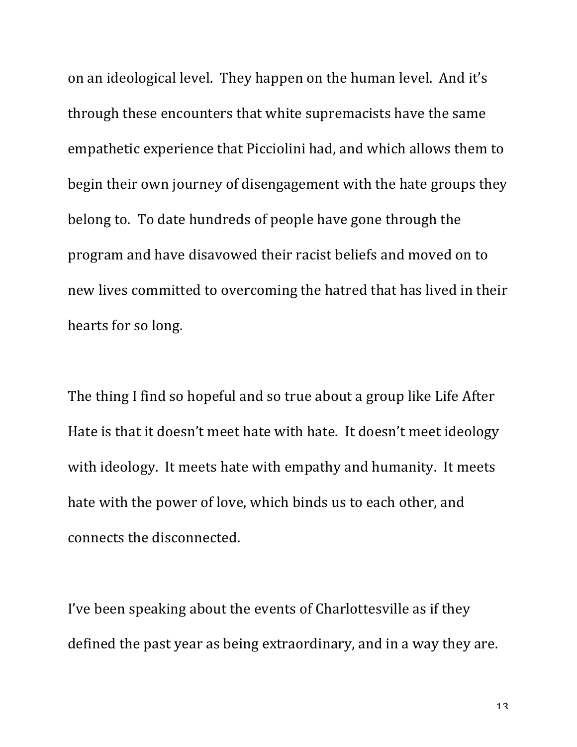on an ideological level. They happen on the human level. And it's through these encounters that white supremacists have the same empathetic experience that Picciolini had, and which allows them to begin their own journey of disengagement with the hate groups they belong to. To date hundreds of people have gone through the program and have disavowed their racist beliefs and moved on to new lives committed to overcoming the hatred that has lived in their hearts for so long.

The thing I find so hopeful and so true about a group like Life After Hate is that it doesn't meet hate with hate. It doesn't meet ideology with ideology. It meets hate with empathy and humanity. It meets hate with the power of love, which binds us to each other, and connects the disconnected.

I've been speaking about the events of Charlottesville as if they defined the past year as being extraordinary, and in a way they are.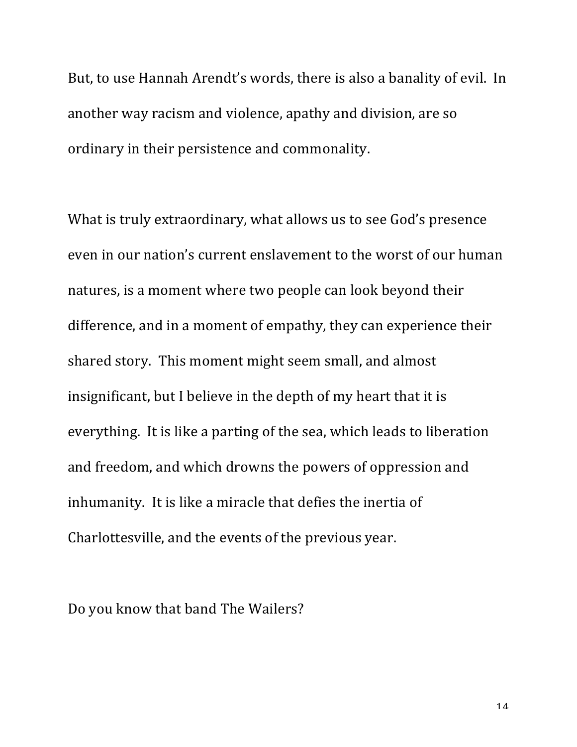But, to use Hannah Arendt's words, there is also a banality of evil. In another way racism and violence, apathy and division, are so ordinary in their persistence and commonality.

What is truly extraordinary, what allows us to see God's presence even in our nation's current enslavement to the worst of our human natures, is a moment where two people can look beyond their difference, and in a moment of empathy, they can experience their shared story. This moment might seem small, and almost insignificant, but I believe in the depth of my heart that it is everything. It is like a parting of the sea, which leads to liberation and freedom, and which drowns the powers of oppression and inhumanity. It is like a miracle that defies the inertia of Charlottesville, and the events of the previous year.

Do you know that band The Wailers?